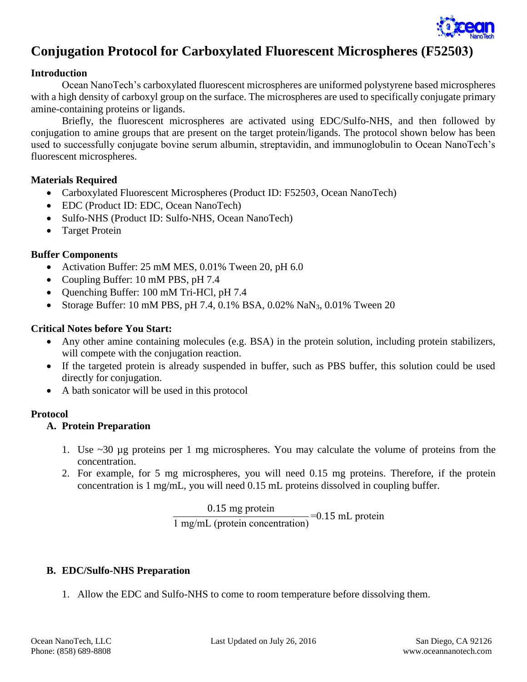

# **Conjugation Protocol for Carboxylated Fluorescent Microspheres (F52503)**

#### **Introduction**

Ocean NanoTech's carboxylated fluorescent microspheres are uniformed polystyrene based microspheres with a high density of carboxyl group on the surface. The microspheres are used to specifically conjugate primary amine-containing proteins or ligands.

Briefly, the fluorescent microspheres are activated using EDC/Sulfo-NHS, and then followed by conjugation to amine groups that are present on the target protein/ligands. The protocol shown below has been used to successfully conjugate bovine serum albumin, streptavidin, and immunoglobulin to Ocean NanoTech's fluorescent microspheres.

#### **Materials Required**

- Carboxylated Fluorescent Microspheres (Product ID: F52503, Ocean NanoTech)
- EDC (Product ID: EDC, Ocean NanoTech)
- Sulfo-NHS (Product ID: Sulfo-NHS, Ocean NanoTech)
- Target Protein

### **Buffer Components**

- Activation Buffer: 25 mM MES, 0.01% Tween 20, pH 6.0
- Coupling Buffer: 10 mM PBS, pH 7.4
- Quenching Buffer: 100 mM Tri-HCl, pH 7.4
- Storage Buffer: 10 mM PBS, pH 7.4, 0.1% BSA, 0.02% NaN<sub>3</sub>, 0.01% Tween 20

### **Critical Notes before You Start:**

- Any other amine containing molecules (e.g. BSA) in the protein solution, including protein stabilizers, will compete with the conjugation reaction.
- If the targeted protein is already suspended in buffer, such as PBS buffer, this solution could be used directly for conjugation.
- A bath sonicator will be used in this protocol

### **Protocol**

### **A. Protein Preparation**

- 1. Use ~30 µg proteins per 1 mg microspheres. You may calculate the volume of proteins from the concentration.
- 2. For example, for 5 mg microspheres, you will need 0.15 mg proteins. Therefore, if the protein concentration is 1 mg/mL, you will need 0.15 mL proteins dissolved in coupling buffer.

$$
\frac{0.15 \text{ mg protein}}{1 \text{ mg/mL (protein concentration)}} = 0.15 \text{ mL protein}
$$

## **B. EDC/Sulfo-NHS Preparation**

1. Allow the EDC and Sulfo-NHS to come to room temperature before dissolving them.